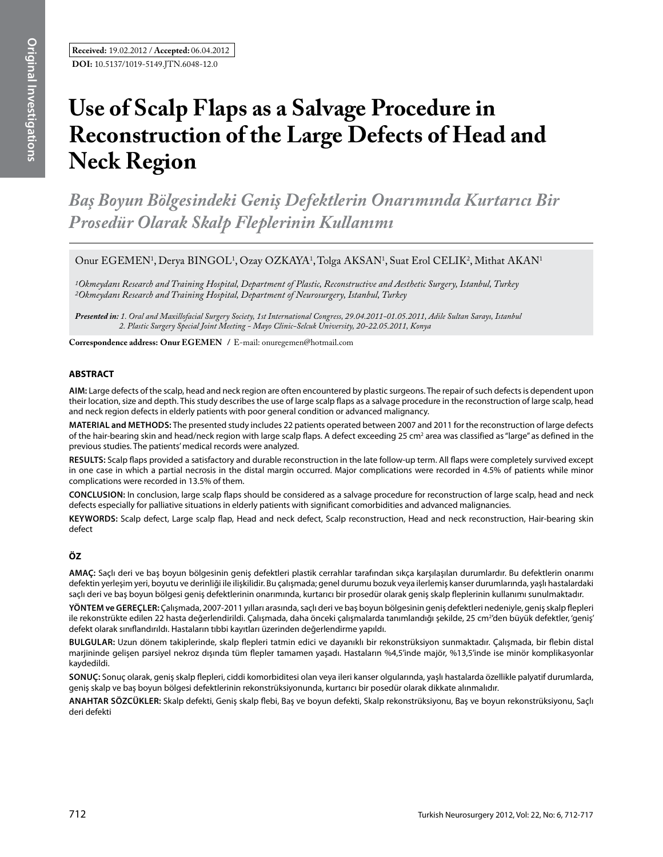# **Use of Scalp Flaps as a Salvage Procedure in Reconstruction of the Large Defects of Head and Neck Region**

*Baş Boyun Bölgesindeki Geniş Defektlerin Onarımında Kurtarıcı Bir Prosedür Olarak Skalp Fleplerinin Kullanımı* 

Onur EGEMEN<sup>1</sup>, Derya BINGOL<sup>1</sup>, Ozay OZKAYA<sup>1</sup>, Tolga AKSAN<sup>1</sup>, Suat Erol CELIK<sup>2</sup>, Mithat AKAN<sup>1</sup>

*1Okmeydanı Research and Training Hospital, Department of Plastic, Reconstructive and Aesthetic Surgery, Istanbul, Turkey 2Okmeydanı Research and Training Hospital, Department of Neurosurgery, Istanbul, Turkey* 

*Presented in: 1. Oral and Maxillofacial Surgery Society, 1st International Congress, 29.04.2011-01.05.2011, Adile Sultan Sarayı, Istanbul 2. Plastic Surgery Special Joint Meeting - Mayo Clinic-Selcuk University, 20-22.05.2011, Konya*

**Correspondence address: Onur Egemen /** E-mail: onuregemen@hotmail.com

# **ABSTRACT**

**AIm:** Large defects of the scalp, head and neck region are often encountered by plastic surgeons. The repair of such defects is dependent upon their location, size and depth. This study describes the use of large scalp flaps as a salvage procedure in the reconstruction of large scalp, head and neck region defects in elderly patients with poor general condition or advanced malignancy.

**MaterIal and Methods:** The presented study includes 22 patients operated between 2007 and 2011 for the reconstruction of large defects of the hair-bearing skin and head/neck region with large scalp flaps. A defect exceeding 25 cm<sup>2</sup> area was classified as "large" as defined in the previous studies. The patients' medical records were analyzed.

**Results:** Scalp flaps provided a satisfactory and durable reconstruction in the late follow-up term. All flaps were completely survived except in one case in which a partial necrosis in the distal margin occurred. Major complications were recorded in 4.5% of patients while minor complications were recorded in 13.5% of them.

**ConclusIon:** In conclusion, large scalp flaps should be considered as a salvage procedure for reconstruction of large scalp, head and neck defects especially for palliative situations in elderly patients with significant comorbidities and advanced malignancies.

**Keywords:** Scalp defect, Large scalp flap, Head and neck defect, Scalp reconstruction, Head and neck reconstruction, Hair-bearing skin defect

# **ÖZ**

**AMAÇ:** Saçlı deri ve baş boyun bölgesinin geniş defektleri plastik cerrahlar tarafından sıkça karşılaşılan durumlardır. Bu defektlerin onarımı defektin yerleşim yeri, boyutu ve derinliği ile ilişkilidir. Bu çalışmada; genel durumu bozuk veya ilerlemiş kanser durumlarında, yaşlı hastalardaki saçlı deri ve baş boyun bölgesi geniş defektlerinin onarımında, kurtarıcı bir prosedür olarak geniş skalp fleplerinin kullanımı sunulmaktadır.

**YÖNTEM ve GEREÇLER:** Çalışmada, 2007-2011 yılları arasında, saçlı deri ve baş boyun bölgesinin geniş defektleri nedeniyle, geniş skalp flepleri ile rekonstrükte edilen 22 hasta değerlendirildi. Çalışmada, daha önceki çalışmalarda tanımlandığı şekilde, 25 cm<sup>2</sup>'den büyük defektler, 'geniş' defekt olarak sınıflandırıldı. Hastaların tıbbi kayıtları üzerinden değerlendirme yapıldı.

**BULGULAR:** Uzun dönem takiplerinde, skalp flepleri tatmin edici ve dayanıklı bir rekonstrüksiyon sunmaktadır. Çalışmada, bir flebin distal marjininde gelişen parsiyel nekroz dışında tüm flepler tamamen yaşadı. Hastaların %4,5'inde majör, %13,5'inde ise minör komplikasyonlar kaydedildi.

**SONUÇ:** Sonuç olarak, geniş skalp flepleri, ciddi komorbiditesi olan veya ileri kanser olgularında, yaşlı hastalarda özellikle palyatif durumlarda, geniş skalp ve baş boyun bölgesi defektlerinin rekonstrüksiyonunda, kurtarıcı bir posedür olarak dikkate alınmalıdır.

**ANAHTAR SÖZCÜKLER:** Skalp defekti, Geniş skalp flebi, Baş ve boyun defekti, Skalp rekonstrüksiyonu, Baş ve boyun rekonstrüksiyonu, Saçlı deri defekti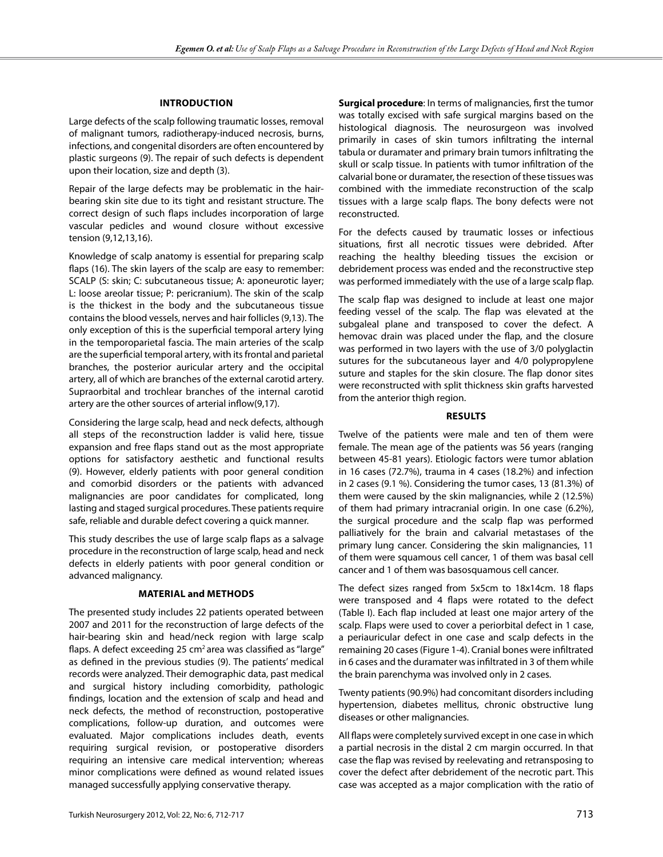## **Introduction**

Large defects of the scalp following traumatic losses, removal of malignant tumors, radiotherapy-induced necrosis, burns, infections, and congenital disorders are often encountered by plastic surgeons (9). The repair of such defects is dependent upon their location, size and depth (3).

Repair of the large defects may be problematic in the hairbearing skin site due to its tight and resistant structure. The correct design of such flaps includes incorporation of large vascular pedicles and wound closure without excessive tension (9,12,13,16).

Knowledge of scalp anatomy is essential for preparing scalp flaps (16). The skin layers of the scalp are easy to remember: SCALP (S: skin; C: subcutaneous tissue; A: aponeurotic layer; L: loose areolar tissue; P: pericranium). The skin of the scalp is the thickest in the body and the subcutaneous tissue contains the blood vessels, nerves and hair follicles (9,13). The only exception of this is the superficial temporal artery lying in the temporoparietal fascia. The main arteries of the scalp are the superficial temporal artery, with its frontal and parietal branches, the posterior auricular artery and the occipital artery, all of which are branches of the external carotid artery. Supraorbital and trochlear branches of the internal carotid artery are the other sources of arterial inflow(9,17).

Considering the large scalp, head and neck defects, although all steps of the reconstruction ladder is valid here, tissue expansion and free flaps stand out as the most appropriate options for satisfactory aesthetic and functional results (9). However, elderly patients with poor general condition and comorbid disorders or the patients with advanced malignancies are poor candidates for complicated, long lasting and staged surgical procedures. These patients require safe, reliable and durable defect covering a quick manner.

This study describes the use of large scalp flaps as a salvage procedure in the reconstruction of large scalp, head and neck defects in elderly patients with poor general condition or advanced malignancy.

#### **Material and Methods**

The presented study includes 22 patients operated between 2007 and 2011 for the reconstruction of large defects of the hair-bearing skin and head/neck region with large scalp flaps. A defect exceeding 25 cm<sup>2</sup> area was classified as "large" as defined in the previous studies (9). The patients' medical records were analyzed. Their demographic data, past medical and surgical history including comorbidity, pathologic findings, location and the extension of scalp and head and neck defects, the method of reconstruction, postoperative complications, follow-up duration, and outcomes were evaluated. Major complications includes death, events requiring surgical revision, or postoperative disorders requiring an intensive care medical intervention; whereas minor complications were defined as wound related issues managed successfully applying conservative therapy.

**Surgical procedure**: In terms of malignancies, first the tumor was totally excised with safe surgical margins based on the histological diagnosis. The neurosurgeon was involved primarily in cases of skin tumors infiltrating the internal tabula or duramater and primary brain tumors infiltrating the skull or scalp tissue. In patients with tumor infiltration of the calvarial bone or duramater, the resection of these tissues was combined with the immediate reconstruction of the scalp tissues with a large scalp flaps. The bony defects were not reconstructed.

For the defects caused by traumatic losses or infectious situations, first all necrotic tissues were debrided. After reaching the healthy bleeding tissues the excision or debridement process was ended and the reconstructive step was performed immediately with the use of a large scalp flap.

The scalp flap was designed to include at least one major feeding vessel of the scalp. The flap was elevated at the subgaleal plane and transposed to cover the defect. A hemovac drain was placed under the flap, and the closure was performed in two layers with the use of 3/0 polyglactin sutures for the subcutaneous layer and 4/0 polypropylene suture and staples for the skin closure. The flap donor sites were reconstructed with split thickness skin grafts harvested from the anterior thigh region.

#### **Results**

Twelve of the patients were male and ten of them were female. The mean age of the patients was 56 years (ranging between 45-81 years). Etiologic factors were tumor ablation in 16 cases (72.7%), trauma in 4 cases (18.2%) and infection in 2 cases (9.1 %). Considering the tumor cases, 13 (81.3%) of them were caused by the skin malignancies, while 2 (12.5%) of them had primary intracranial origin. In one case (6.2%), the surgical procedure and the scalp flap was performed palliatively for the brain and calvarial metastases of the primary lung cancer. Considering the skin malignancies, 11 of them were squamous cell cancer, 1 of them was basal cell cancer and 1 of them was basosquamous cell cancer.

The defect sizes ranged from 5x5cm to 18x14cm. 18 flaps were transposed and 4 flaps were rotated to the defect (Table I). Each flap included at least one major artery of the scalp. Flaps were used to cover a periorbital defect in 1 case, a periauricular defect in one case and scalp defects in the remaining 20 cases (Figure 1-4). Cranial bones were infiltrated in 6 cases and the duramater was infiltrated in 3 of them while the brain parenchyma was involved only in 2 cases.

Twenty patients (90.9%) had concomitant disorders including hypertension, diabetes mellitus, chronic obstructive lung diseases or other malignancies.

All flaps were completely survived except in one case in which a partial necrosis in the distal 2 cm margin occurred. In that case the flap was revised by reelevating and retransposing to cover the defect after debridement of the necrotic part. This case was accepted as a major complication with the ratio of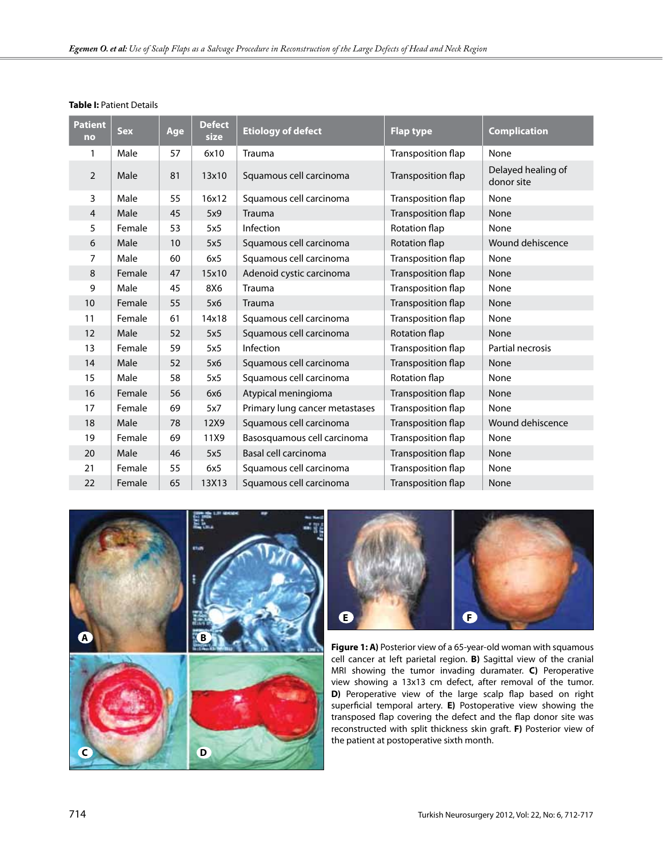| <b>Patient</b><br>no | <b>Sex</b> | Age | <b>Defect</b><br>size | <b>Etiology of defect</b>      | <b>Flap type</b>          | <b>Complication</b>              |
|----------------------|------------|-----|-----------------------|--------------------------------|---------------------------|----------------------------------|
| 1                    | Male       | 57  | 6x10                  | <b>Trauma</b>                  | Transposition flap        | None                             |
| $\overline{2}$       | Male       | 81  | 13x10                 | Squamous cell carcinoma        | Transposition flap        | Delayed healing of<br>donor site |
| 3                    | Male       | 55  | 16x12                 | Squamous cell carcinoma        | Transposition flap        | None                             |
| $\overline{4}$       | Male       | 45  | 5x9                   | <b>Trauma</b>                  | Transposition flap        | None                             |
| 5                    | Female     | 53  | 5x5                   | Infection                      | Rotation flap             | None                             |
| 6                    | Male       | 10  | 5x5                   | Squamous cell carcinoma        | Rotation flap             | Wound dehiscence                 |
| 7                    | Male       | 60  | 6x5                   | Squamous cell carcinoma        | Transposition flap        | None                             |
| 8                    | Female     | 47  | 15x10                 | Adenoid cystic carcinoma       | Transposition flap        | None                             |
| 9                    | Male       | 45  | 8X6                   | Trauma                         | Transposition flap        | None                             |
| 10                   | Female     | 55  | 5x6                   | <b>Trauma</b>                  | Transposition flap        | None                             |
| 11                   | Female     | 61  | 14x18                 | Squamous cell carcinoma        | Transposition flap        | None                             |
| 12                   | Male       | 52  | 5x5                   | Squamous cell carcinoma        | Rotation flap             | None                             |
| 13                   | Female     | 59  | 5x5                   | Infection                      | Transposition flap        | Partial necrosis                 |
| 14                   | Male       | 52  | 5x6                   | Squamous cell carcinoma        | Transposition flap        | None                             |
| 15                   | Male       | 58  | 5x5                   | Squamous cell carcinoma        | Rotation flap             | None                             |
| 16                   | Female     | 56  | 6x6                   | Atypical meningioma            | Transposition flap        | None                             |
| 17                   | Female     | 69  | 5x7                   | Primary lung cancer metastases | Transposition flap        | None                             |
| 18                   | Male       | 78  | 12X9                  | Squamous cell carcinoma        | <b>Transposition flap</b> | Wound dehiscence                 |
| 19                   | Female     | 69  | 11X9                  | Basosquamous cell carcinoma    | Transposition flap        | None                             |
| 20                   | Male       | 46  | 5x5                   | Basal cell carcinoma           | Transposition flap        | None                             |
| 21                   | Female     | 55  | 6x5                   | Squamous cell carcinoma        | Transposition flap        | None                             |
| 22                   | Female     | 65  | 13X13                 | Squamous cell carcinoma        | <b>Transposition flap</b> | None                             |

## **Table I:** Patient Details





**Figure 1: A)** Posterior view of a 65-year-old woman with squamous cell cancer at left parietal region. **B)** Sagittal view of the cranial MRI showing the tumor invading duramater. **C)** Peroperative view showing a 13x13 cm defect, after removal of the tumor. **D)** Peroperative view of the large scalp flap based on right superficial temporal artery. **E)** Postoperative view showing the transposed flap covering the defect and the flap donor site was reconstructed with split thickness skin graft. **F)** Posterior view of the patient at postoperative sixth month.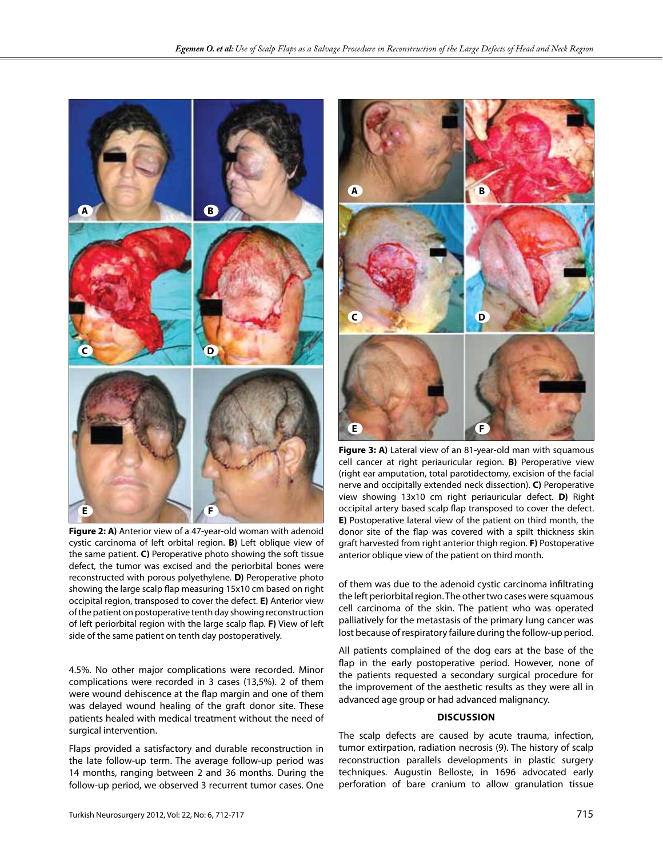

**Figure 2: A)** Anterior view of a 47-year-old woman with adenoid cystic carcinoma of left orbital region. **B)** Left oblique view of the same patient. **C)** Peroperative photo showing the soft tissue defect, the tumor was excised and the periorbital bones were reconstructed with porous polyethylene. **D)** Peroperative photo showing the large scalp flap measuring 15x10 cm based on right occipital region, transposed to cover the defect. **E)** Anterior view of the patient on postoperative tenth day showing reconstruction of left periorbital region with the large scalp flap. **F)** View of left side of the same patient on tenth day postoperatively.

4.5%. No other major complications were recorded. Minor complications were recorded in 3 cases (13,5%). 2 of them were wound dehiscence at the flap margin and one of them was delayed wound healing of the graft donor site. These patients healed with medical treatment without the need of surgical intervention.

Flaps provided a satisfactory and durable reconstruction in the late follow-up term. The average follow-up period was 14 months, ranging between 2 and 36 months. During the follow-up period, we observed 3 recurrent tumor cases. One



Figure 3: A) Lateral view of an 81-year-old man with squamous cell cancer at right periauricular region. **B)** Peroperative view (right ear amputation, total parotidectomy, excision of the facial nerve and occipitally extended neck dissection). **C)** Peroperative view showing 13x10 cm right periauricular defect. **D)** Right occipital artery based scalp flap transposed to cover the defect. **E)** Postoperative lateral view of the patient on third month, the donor site of the flap was covered with a spilt thickness skin graft harvested from right anterior thigh region. **F)** Postoperative anterior oblique view of the patient on third month.

of them was due to the adenoid cystic carcinoma infiltrating the left periorbital region. The other two cases were squamous cell carcinoma of the skin. The patient who was operated palliatively for the metastasis of the primary lung cancer was lost because of respiratory failure during the follow-up period.

All patients complained of the dog ears at the base of the flap in the early postoperative period. However, none of the patients requested a secondary surgical procedure for the improvement of the aesthetic results as they were all in advanced age group or had advanced malignancy.

#### **Discussion**

The scalp defects are caused by acute trauma, infection, tumor extirpation, radiation necrosis (9). The history of scalp reconstruction parallels developments in plastic surgery techniques. Augustin Belloste, in 1696 advocated early perforation of bare cranium to allow granulation tissue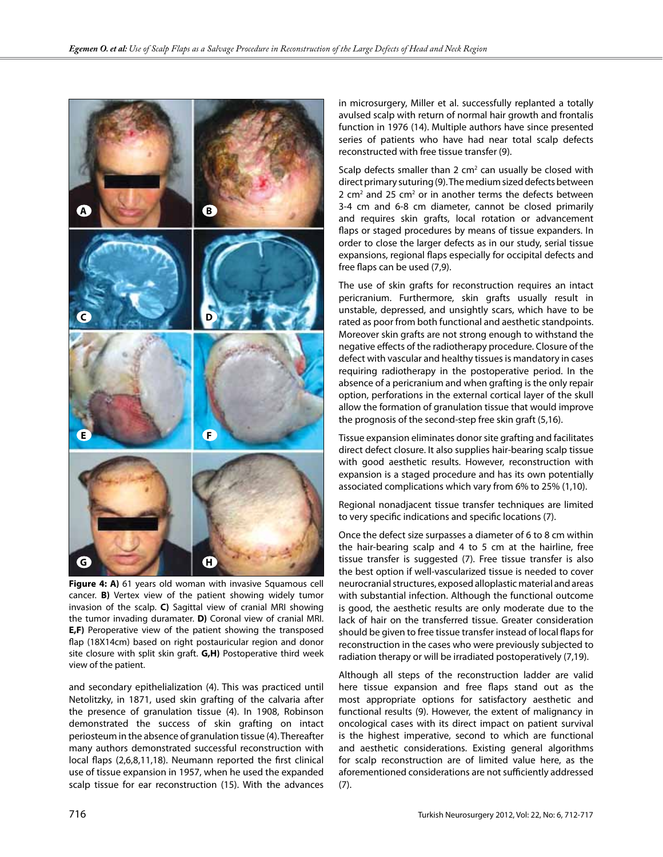

Figure 4: A) 61 years old woman with invasive Squamous cell cancer. **B)** Vertex view of the patient showing widely tumor invasion of the scalp. **C)** Sagittal view of cranial MRI showing the tumor invading duramater. **D)** Coronal view of cranial MRI. **E,F)** Peroperative view of the patient showing the transposed flap (18X14cm) based on right postauricular region and donor site closure with split skin graft. **G,H)** Postoperative third week view of the patient.

and secondary epithelialization (4). This was practiced until Netolitzky, in 1871, used skin grafting of the calvaria after the presence of granulation tissue (4). In 1908, Robinson demonstrated the success of skin grafting on intact periosteum in the absence of granulation tissue (4). Thereafter many authors demonstrated successful reconstruction with local flaps (2,6,8,11,18). Neumann reported the first clinical use of tissue expansion in 1957, when he used the expanded scalp tissue for ear reconstruction (15). With the advances

in microsurgery, Miller et al. successfully replanted a totally avulsed scalp with return of normal hair growth and frontalis function in 1976 (14). Multiple authors have since presented series of patients who have had near total scalp defects reconstructed with free tissue transfer (9).

Scalp defects smaller than 2  $cm<sup>2</sup>$  can usually be closed with direct primary suturing (9). The medium sized defects between 2  $\text{cm}^2$  and 25  $\text{cm}^2$  or in another terms the defects between 3-4 cm and 6-8 cm diameter, cannot be closed primarily and requires skin grafts, local rotation or advancement flaps or staged procedures by means of tissue expanders. In order to close the larger defects as in our study, serial tissue expansions, regional flaps especially for occipital defects and free flaps can be used (7,9).

The use of skin grafts for reconstruction requires an intact pericranium. Furthermore, skin grafts usually result in unstable, depressed, and unsightly scars, which have to be rated as poor from both functional and aesthetic standpoints. Moreover skin grafts are not strong enough to withstand the negative effects of the radiotherapy procedure. Closure of the defect with vascular and healthy tissues is mandatory in cases requiring radiotherapy in the postoperative period. In the absence of a pericranium and when grafting is the only repair option, perforations in the external cortical layer of the skull allow the formation of granulation tissue that would improve the prognosis of the second-step free skin graft (5,16).

Tissue expansion eliminates donor site grafting and facilitates direct defect closure. It also supplies hair-bearing scalp tissue with good aesthetic results. However, reconstruction with expansion is a staged procedure and has its own potentially associated complications which vary from 6% to 25% (1,10).

Regional nonadjacent tissue transfer techniques are limited to very specific indications and specific locations (7).

Once the defect size surpasses a diameter of 6 to 8 cm within the hair-bearing scalp and 4 to 5 cm at the hairline, free tissue transfer is suggested (7). Free tissue transfer is also the best option if well-vascularized tissue is needed to cover neurocranial structures, exposed alloplastic material and areas with substantial infection. Although the functional outcome is good, the aesthetic results are only moderate due to the lack of hair on the transferred tissue. Greater consideration should be given to free tissue transfer instead of local flaps for reconstruction in the cases who were previously subjected to radiation therapy or will be irradiated postoperatively (7,19).

Although all steps of the reconstruction ladder are valid here tissue expansion and free flaps stand out as the most appropriate options for satisfactory aesthetic and functional results (9). However, the extent of malignancy in oncological cases with its direct impact on patient survival is the highest imperative, second to which are functional and aesthetic considerations. Existing general algorithms for scalp reconstruction are of limited value here, as the aforementioned considerations are not sufficiently addressed (7).